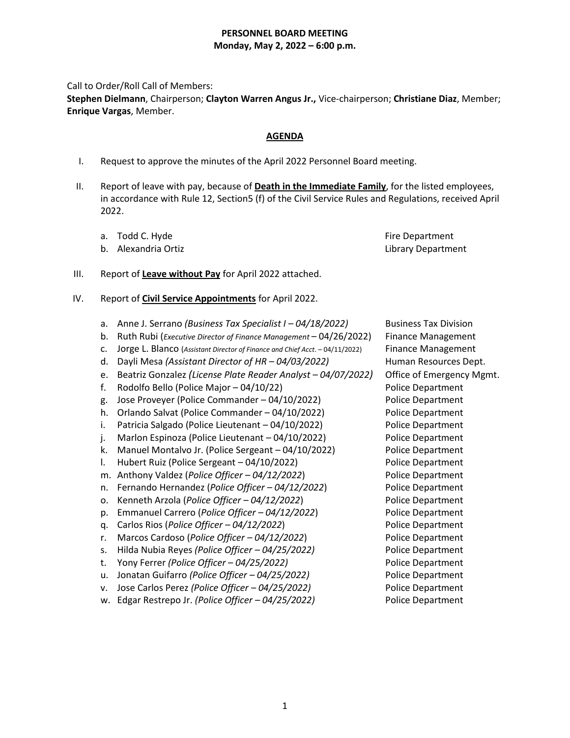## **PERSONNEL BOARD MEETING Monday, May 2, 2022 – 6:00 p.m.**

Call to Order/Roll Call of Members:

**Stephen Dielmann**, Chairperson; **Clayton Warren Angus Jr.,** Vice-chairperson; **Christiane Diaz**, Member; **Enrique Vargas**, Member.

## **AGENDA**

- I. Request to approve the minutes of the April 2022 Personnel Board meeting.
- II. Report of leave with pay, because of **Death in the Immediate Family**, for the listed employees, in accordance with Rule 12, Section5 (f) of the Civil Service Rules and Regulations, received April 2022.
	- a. Todd C. Hyde Fire Department
	- b. Alexandria Ortiz Library Department

#### III. Report of **Leave without Pay** for April 2022 attached.

- IV. Report of **Civil Service Appointments** for April 2022.
	- a. Anne J. Serrano *(Business Tax Specialist I – 04/18/2022)* Business Tax Division
	- b. Ruth Rubi (*Executive Director of Finance Management* 04/26/2022) Finance Management
	- c. Jorge L. Blanco (*Assistant Director of Finance and Chief Acct*. 04/11/2022) Finance Management
	- d. Dayli Mesa *(Assistant Director of HR – 04/03/2022)* Human Resources Dept.
	- e. Beatriz Gonzalez *(License Plate Reader Analyst – 04/07/2022)* Office of Emergency Mgmt.
	- f. Rodolfo Bello (Police Major 04/10/22) Police Department
	- g. Jose Proveyer (Police Commander 04/10/2022) Police Department
	- h. Orlando Salvat (Police Commander 04/10/2022) Police Department
	- i. Patricia Salgado (Police Lieutenant 04/10/2022) Police Department
	- j. Marlon Espinoza (Police Lieutenant 04/10/2022) Police Department
	- k. Manuel Montalvo Jr. (Police Sergeant 04/10/2022) Police Department
	- l. Hubert Ruiz (Police Sergeant 04/10/2022) Police Department
	- m. Anthony Valdez (*Police Officer – 04/12/2022*) Police Department
	- n. Fernando Hernandez (*Police Officer – 04/12/2022*) Police Department
	- o. Kenneth Arzola (*Police Officer – 04/12/2022*) Police Department
	- p. Emmanuel Carrero (*Police Officer – 04/12/2022*) Police Department
	- q. Carlos Rios (*Police Officer – 04/12/2022*) Police Department
	- r. Marcos Cardoso (*Police Officer – 04/12/2022*) Police Department
	- s. Hilda Nubia Reyes *(Police Officer – 04/25/2022)* Police Department
	- t. Yony Ferrer *(Police Officer – 04/25/2022)* Police Department
	- u. Jonatan Guifarro *(Police Officer – 04/25/2022)* Police Department
	- v. Jose Carlos Perez *(Police Officer – 04/25/2022)* Police Department
	- w. Edgar Restrepo Jr. *(Police Officer – 04/25/2022)* Police Department

- 
-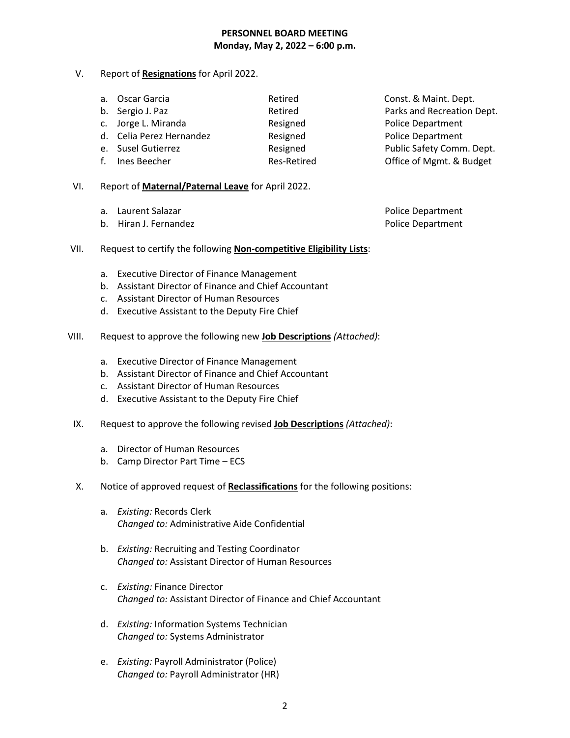## **PERSONNEL BOARD MEETING Monday, May 2, 2022 – 6:00 p.m.**

V. Report of **Resignations** for April 2022.

| a. Oscar Garcia          | Retired     | Const. & Maint. Dept.      |
|--------------------------|-------------|----------------------------|
| b. Sergio J. Paz         | Retired     | Parks and Recreation Dept. |
| c. Jorge L. Miranda      | Resigned    | <b>Police Department</b>   |
| d. Celia Perez Hernandez | Resigned    | <b>Police Department</b>   |
| e. Susel Gutierrez       | Resigned    | Public Safety Comm. Dept.  |
| f. Ines Beecher          | Res-Retired | Office of Mgmt. & Budget   |

- VI. Report of **Maternal/Paternal Leave** for April 2022.
	- a. Laurent Salazar **Police Department**
	- b. Hiran J. Fernandez **Police Department**

- VII. Request to certify the following **Non-competitive Eligibility Lists**:
	- a. Executive Director of Finance Management
	- b. Assistant Director of Finance and Chief Accountant
	- c. Assistant Director of Human Resources
	- d. Executive Assistant to the Deputy Fire Chief
- VIII. Request to approve the following new **Job Descriptions** *(Attached)*:
	- a. Executive Director of Finance Management
	- b. Assistant Director of Finance and Chief Accountant
	- c. Assistant Director of Human Resources
	- d. Executive Assistant to the Deputy Fire Chief
- IX. Request to approve the following revised **Job Descriptions** *(Attached)*:
	- a. Director of Human Resources
	- b. Camp Director Part Time ECS
- X. Notice of approved request of **Reclassifications** for the following positions:
	- a. *Existing:* Records Clerk *Changed to:* Administrative Aide Confidential
	- b. *Existing:* Recruiting and Testing Coordinator *Changed to:* Assistant Director of Human Resources
	- c. *Existing:* Finance Director *Changed to:* Assistant Director of Finance and Chief Accountant
	- d. *Existing:* Information Systems Technician *Changed to:* Systems Administrator
	- e. *Existing:* Payroll Administrator (Police) *Changed to:* Payroll Administrator (HR)